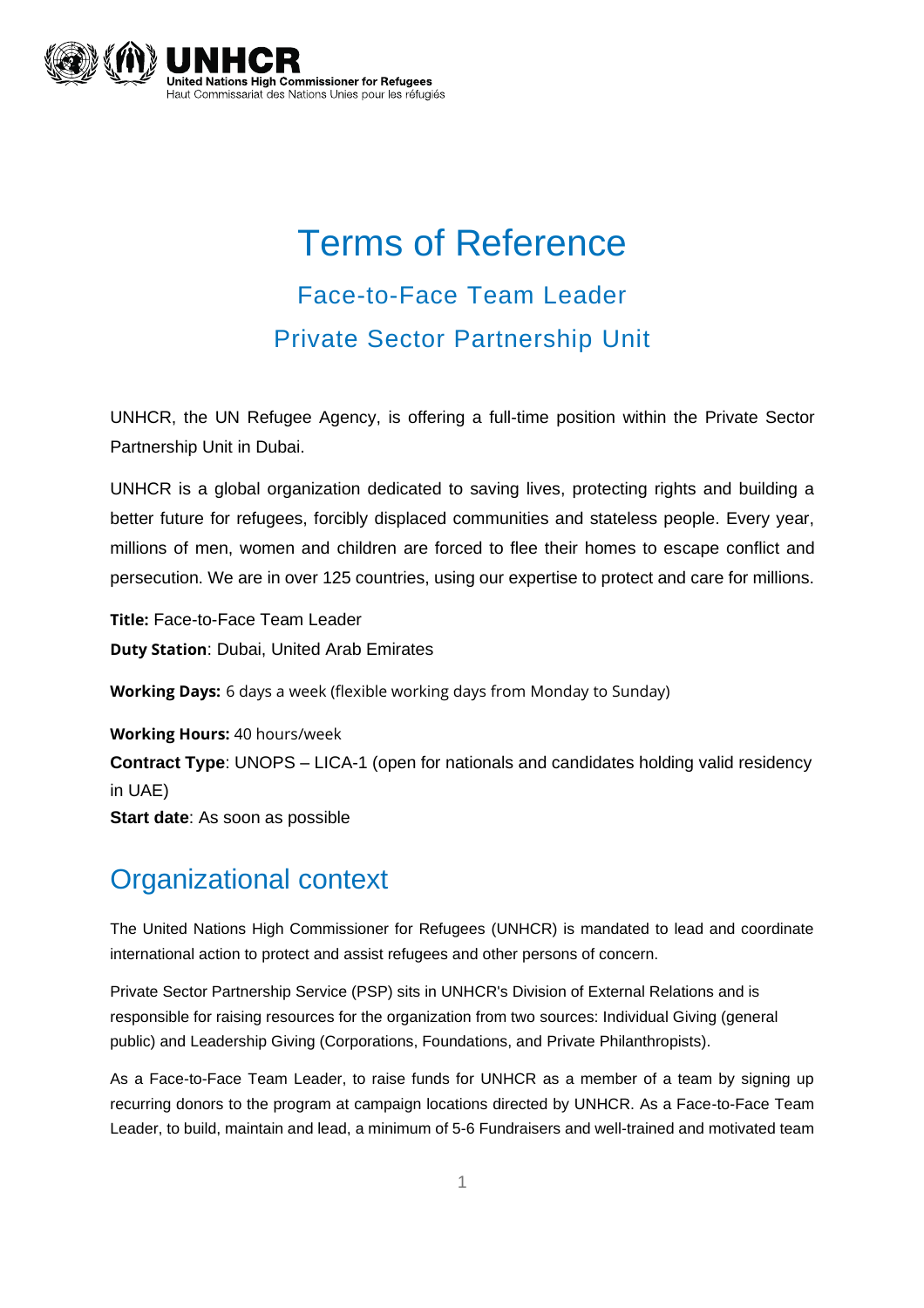

# Terms of Reference Face-to-Face Team Leader Private Sector Partnership Unit

UNHCR, the UN Refugee Agency, is offering a full-time position within the Private Sector Partnership Unit in Dubai.

UNHCR is a global organization dedicated to saving lives, protecting rights and building a better future for refugees, forcibly displaced communities and stateless people. Every year, millions of men, women and children are forced to flee their homes to escape conflict and persecution. We are in over 125 countries, using our expertise to protect and care for millions.

**Title:** Face-to-Face Team Leader **Duty Station**: Dubai, United Arab Emirates

**Working Days:** 6 days a week (flexible working days from Monday to Sunday)

**Working Hours:** 40 hours/week **Contract Type**: UNOPS – LICA-1 (open for nationals and candidates holding valid residency in UAE) **Start date**: As soon as possible

# Organizational context

The United Nations High Commissioner for Refugees (UNHCR) is mandated to lead and coordinate international action to protect and assist refugees and other persons of concern.

Private Sector Partnership Service (PSP) sits in UNHCR's Division of External Relations and is responsible for raising resources for the organization from two sources: Individual Giving (general public) and Leadership Giving (Corporations, Foundations, and Private Philanthropists).

As a Face-to-Face Team Leader, to raise funds for UNHCR as a member of a team by signing up recurring donors to the program at campaign locations directed by UNHCR. As a Face-to-Face Team Leader, to build, maintain and lead, a minimum of 5-6 Fundraisers and well-trained and motivated team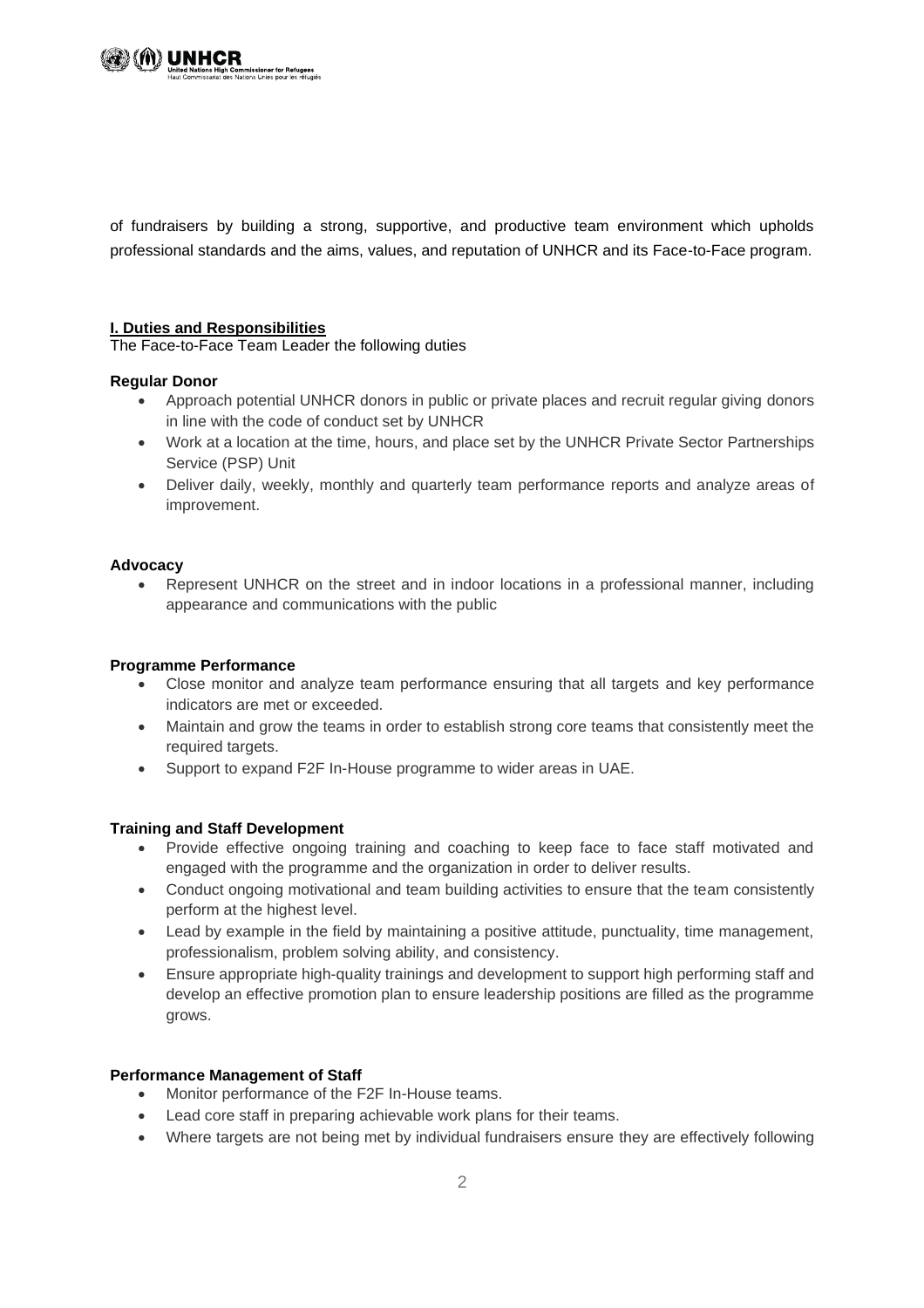

of fundraisers by building a strong, supportive, and productive team environment which upholds professional standards and the aims, values, and reputation of UNHCR and its Face-to-Face program.

#### **I. Duties and Responsibilities**

The Face-to-Face Team Leader the following duties

#### **Regular Donor**

- Approach potential UNHCR donors in public or private places and recruit regular giving donors in line with the code of conduct set by UNHCR
- Work at a location at the time, hours, and place set by the UNHCR Private Sector Partnerships Service (PSP) Unit
- Deliver daily, weekly, monthly and quarterly team performance reports and analyze areas of improvement.

#### **Advocacy**

• Represent UNHCR on the street and in indoor locations in a professional manner, including appearance and communications with the public

#### **Programme Performance**

- Close monitor and analyze team performance ensuring that all targets and key performance indicators are met or exceeded.
- Maintain and grow the teams in order to establish strong core teams that consistently meet the required targets.
- Support to expand F2F In-House programme to wider areas in UAE.

## **Training and Staff Development**

- Provide effective ongoing training and coaching to keep face to face staff motivated and engaged with the programme and the organization in order to deliver results.
- Conduct ongoing motivational and team building activities to ensure that the team consistently perform at the highest level.
- Lead by example in the field by maintaining a positive attitude, punctuality, time management, professionalism, problem solving ability, and consistency.
- Ensure appropriate high-quality trainings and development to support high performing staff and develop an effective promotion plan to ensure leadership positions are filled as the programme grows.

## **Performance Management of Staff**

- Monitor performance of the F2F In-House teams.
- Lead core staff in preparing achievable work plans for their teams.
- Where targets are not being met by individual fundraisers ensure they are effectively following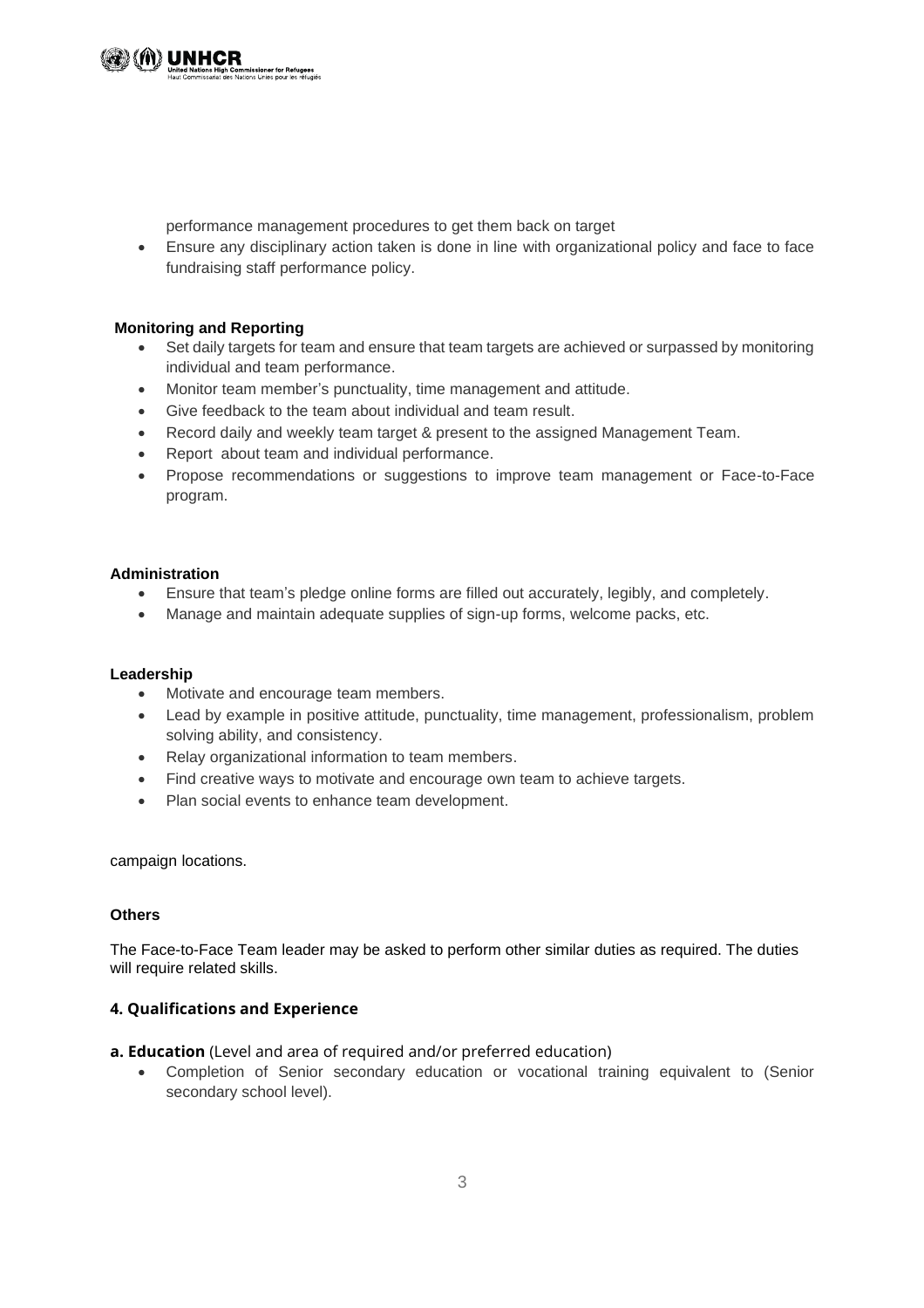performance management procedures to get them back on target

• Ensure any disciplinary action taken is done in line with organizational policy and face to face fundraising staff performance policy.

# **Monitoring and Reporting**

- Set daily targets for team and ensure that team targets are achieved or surpassed by monitoring individual and team performance.
- Monitor team member's punctuality, time management and attitude.
- Give feedback to the team about individual and team result.
- Record daily and weekly team target & present to the assigned Management Team.
- Report about team and individual performance.

**sioner for Refugees**<br>Unies pour les réfugiés

• Propose recommendations or suggestions to improve team management or Face-to-Face program.

#### **Administration**

- Ensure that team's pledge online forms are filled out accurately, legibly, and completely.
- Manage and maintain adequate supplies of sign-up forms, welcome packs, etc.

## **Leadership**

- Motivate and encourage team members.
- Lead by example in positive attitude, punctuality, time management, professionalism, problem solving ability, and consistency.
- Relay organizational information to team members.
- Find creative ways to motivate and encourage own team to achieve targets.
- Plan social events to enhance team development.

#### campaign locations.

## **Others**

The Face-to-Face Team leader may be asked to perform other similar duties as required. The duties will require related skills.

## **4. Qualifications and Experience**

#### **a. Education** (Level and area of required and/or preferred education)

• Completion of Senior secondary education or vocational training equivalent to (Senior secondary school level).